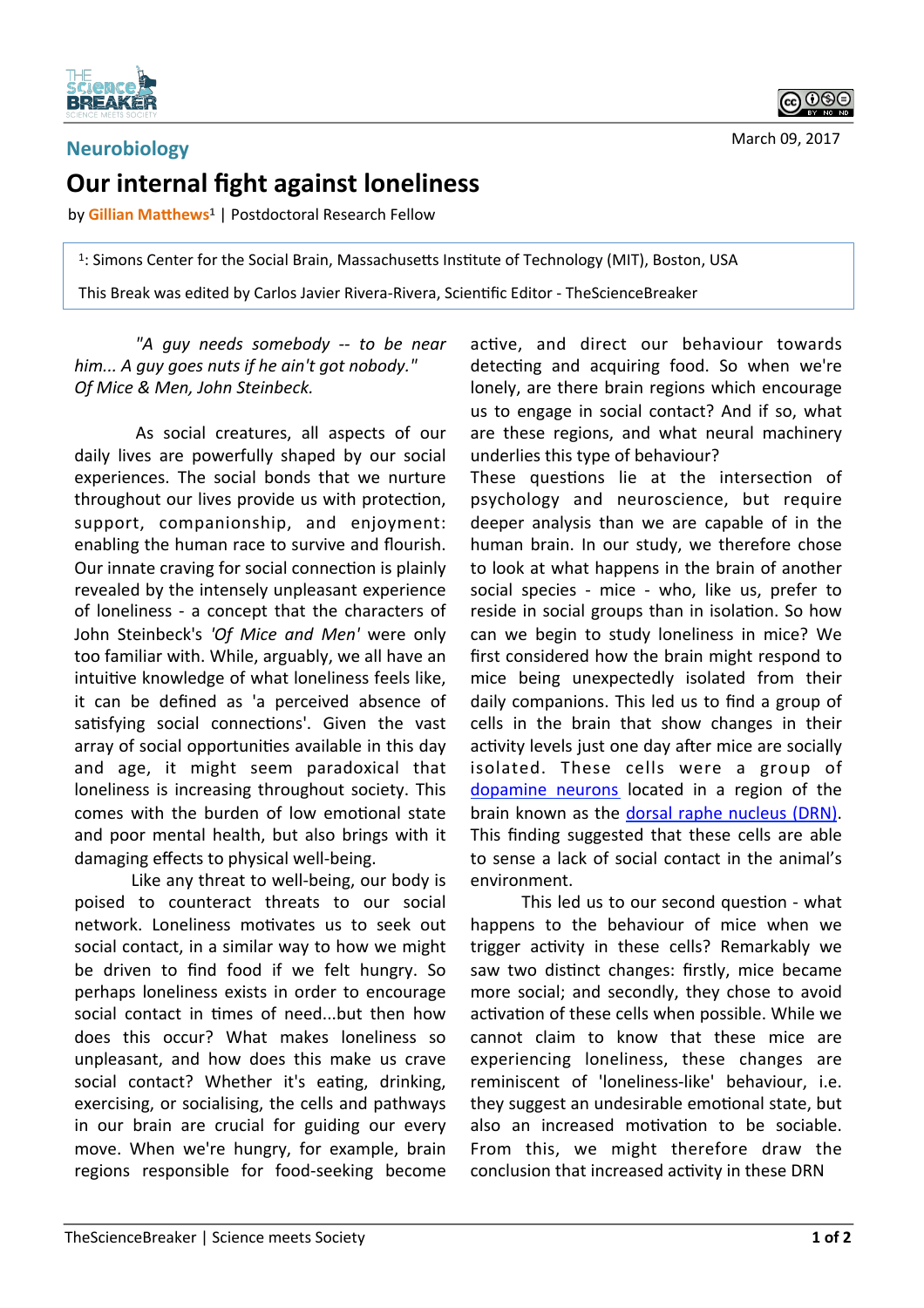

March 09, 2017

## **Neurobiology Our internal fight against loneliness**

by **Gillian Matthews<sup>1</sup> | Postdoctoral Research Fellow** 

 $1:$  Simons Center for the Social Brain, Massachusetts Institute of Technology (MIT), Boston, USA

This Break was edited by Carlos Javier Rivera-Rivera, Scientific Editor - TheScienceBreaker

*"A guy needs somebody -- to be near*  him... A auv goes nuts if he ain't got nobody." *Of Mice & Men, John Steinbeck.* 

As social creatures, all aspects of our daily lives are powerfully shaped by our social experiences. The social bonds that we nurture throughout our lives provide us with protection, support, companionship, and enjoyment: enabling the human race to survive and flourish. Our innate craving for social connection is plainly revealed by the intensely unpleasant experience of loneliness - a concept that the characters of John Steinbeck's 'Of Mice and Men' were only too familiar with. While, arguably, we all have an intuitive knowledge of what loneliness feels like. it can be defined as 'a perceived absence of satisfying social connections'. Given the vast array of social opportunities available in this day and age, it might seem paradoxical that loneliness is increasing throughout society. This comes with the burden of low emotional state and poor mental health, but also brings with it damaging effects to physical well-being.

Like any threat to well-being, our body is poised to counteract threats to our social network. Loneliness motivates us to seek out social contact, in a similar way to how we might be driven to find food if we felt hungry. So perhaps loneliness exists in order to encourage social contact in times of need...but then how does this occur? What makes loneliness so unpleasant, and how does this make us crave social contact? Whether it's eating, drinking, exercising, or socialising, the cells and pathways in our brain are crucial for guiding our every move. When we're hungry, for example, brain regions responsible for food-seeking become

active, and direct our behaviour towards detecting and acquiring food. So when we're lonely, are there brain regions which encourage us to engage in social contact? And if so, what are these regions, and what neural machinery underlies this type of behaviour?

These questions lie at the intersection of psychology and neuroscience, but require deeper analysis than we are capable of in the human brain. In our study, we therefore chose to look at what happens in the brain of another social species - mice - who, like us, prefer to reside in social groups than in isolation. So how can we begin to study loneliness in mice? We first considered how the brain might respond to mice being unexpectedly isolated from their daily companions. This led us to find a group of cells in the brain that show changes in their activity levels just one day after mice are socially isolated. These cells were a group of dopamine neurons located in a region of the brain known as the dorsal raphe nucleus (DRN). This finding suggested that these cells are able to sense a lack of social contact in the animal's environment. 

This led us to our second question - what happens to the behaviour of mice when we trigger activity in these cells? Remarkably we saw two distinct changes: firstly, mice became more social; and secondly, they chose to avoid activation of these cells when possible. While we cannot claim to know that these mice are experiencing loneliness, these changes are reminiscent of 'loneliness-like' behaviour, i.e. they suggest an undesirable emotional state, but also an increased motivation to be sociable. From this, we might therefore draw the conclusion that increased activity in these DRN